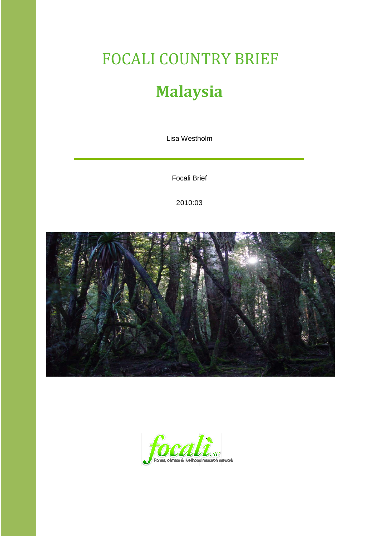# FOCALI COUNTRY BRIEF **Malaysia**

Lisa Westholm

Focali Brief

2010:03



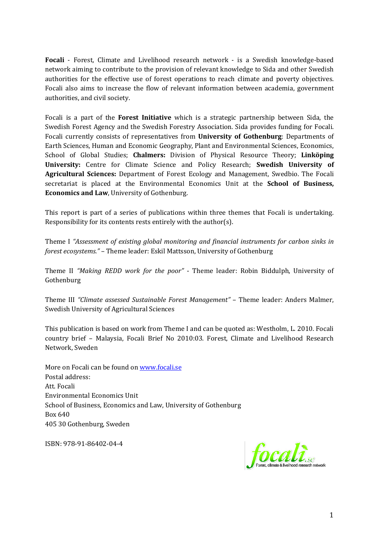**Focali** - Forest, Climate and Livelihood research network - is a Swedish knowledge-based network aiming to contribute to the provision of relevant knowledge to Sida and other Swedish authorities for the effective use of forest operations to reach climate and poverty objectives. Focali also aims to increase the flow of relevant information between academia, government authorities, and civil society.

Focali is a part of the **Forest Initiative** which is a strategic partnership between Sida, the Swedish Forest Agency and the Swedish Forestry Association. Sida provides funding for Focali. Focali currently consists of representatives from **University of Gothenburg**: Departments of Earth Sciences, Human and Economic Geography, Plant and Environmental Sciences, Economics, School of Global Studies; **Chalmers:** Division of Physical Resource Theory; **Linköping University:** Centre for Climate Science and Policy Research; **Swedish University of Agricultural Sciences:** Department of Forest Ecology and Management, Swedbio. The Focali secretariat is placed at the Environmental Economics Unit at the **School of Business, Economics and Law**, University of Gothenburg.

This report is part of a series of publications within three themes that Focali is undertaking. Responsibility for its contents rests entirely with the author(s).

Theme I *"Assessment of existing global monitoring and financial instruments for carbon sinks in forest ecosystems."* – Theme leader: Eskil Mattsson, University of Gothenburg

Theme II *"Making REDD work for the poor"* - Theme leader: Robin Biddulph, University of Gothenburg

Theme III *"Climate assessed Sustainable Forest Management"* – Theme leader: Anders Malmer, Swedish University of Agricultural Sciences

This publication is based on work from Theme I and can be quoted as: Westholm, L. 2010. Focali country brief – Malaysia, Focali Brief No 2010:03. Forest, Climate and Livelihood Research Network, Sweden

More on Focali can be found on [www.focali.se](http://www.focali.se/) Postal address: Att. Focali Environmental Economics Unit School of Business, Economics and Law, University of Gothenburg Box 640 405 30 Gothenburg, Sweden

ISBN: 978-91-86402-04-4

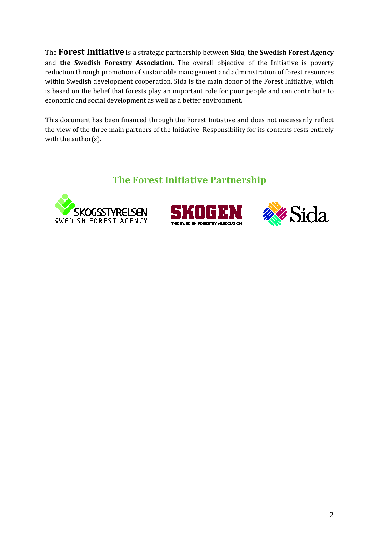The **Forest Initiative** is a strategic partnership between **Sida**, **the Swedish Forest Agency** and **the Swedish Forestry Association**. The overall objective of the Initiative is poverty reduction through promotion of sustainable management and administration of forest resources within Swedish development cooperation. Sida is the main donor of the Forest Initiative, which is based on the belief that forests play an important role for poor people and can contribute to economic and social development as well as a better environment.

This document has been financed through the Forest Initiative and does not necessarily reflect the view of the three main partners of the Initiative. Responsibility for its contents rests entirely with the author(s).

### **The Forest Initiative Partnership**





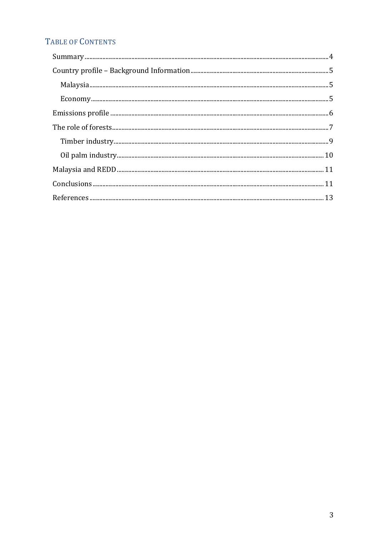## TABLE OF CONTENTS

| $\begin{minipage}{0.9\linewidth} \textbf{Summary} \end{minipage} \begin{minipage}{0.9\linewidth} \textbf{Summary} \end{minipage} \begin{minipage}{0.9\linewidth} \textbf{Argument} \end{minipage} \begin{minipage}{0.9\linewidth} \textbf{Argument} \end{minipage} \begin{minipage}{0.9\linewidth} \textbf{Argument} \end{minipage} \begin{minipage}{0.9\linewidth} \textbf{Argument} \end{minipage} \begin{minipage}{0.9\linewidth} \textbf{Argument} \end{minipage} \begin{minipage}{0.9\linewidth} \textbf{Argument} \end{minipage} \begin{minipage}{0.9\linewidth$ |
|------------------------------------------------------------------------------------------------------------------------------------------------------------------------------------------------------------------------------------------------------------------------------------------------------------------------------------------------------------------------------------------------------------------------------------------------------------------------------------------------------------------------------------------------------------------------|
|                                                                                                                                                                                                                                                                                                                                                                                                                                                                                                                                                                        |
|                                                                                                                                                                                                                                                                                                                                                                                                                                                                                                                                                                        |
|                                                                                                                                                                                                                                                                                                                                                                                                                                                                                                                                                                        |
|                                                                                                                                                                                                                                                                                                                                                                                                                                                                                                                                                                        |
|                                                                                                                                                                                                                                                                                                                                                                                                                                                                                                                                                                        |
|                                                                                                                                                                                                                                                                                                                                                                                                                                                                                                                                                                        |
|                                                                                                                                                                                                                                                                                                                                                                                                                                                                                                                                                                        |
|                                                                                                                                                                                                                                                                                                                                                                                                                                                                                                                                                                        |
|                                                                                                                                                                                                                                                                                                                                                                                                                                                                                                                                                                        |
|                                                                                                                                                                                                                                                                                                                                                                                                                                                                                                                                                                        |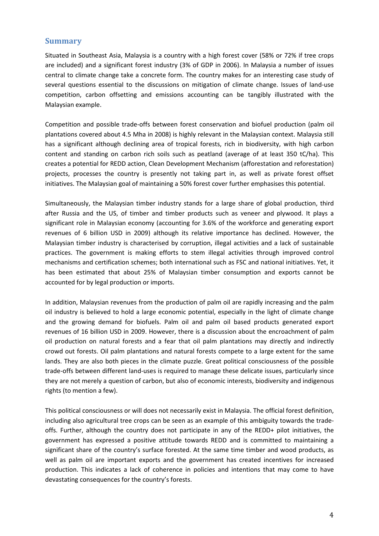#### <span id="page-4-0"></span>**Summary**

Situated in Southeast Asia, Malaysia is a country with a high forest cover (58% or 72% if tree crops are included) and a significant forest industry (3% of GDP in 2006). In Malaysia a number of issues central to climate change take a concrete form. The country makes for an interesting case study of several questions essential to the discussions on mitigation of climate change. Issues of land-use competition, carbon offsetting and emissions accounting can be tangibly illustrated with the Malaysian example.

Competition and possible trade-offs between forest conservation and biofuel production (palm oil plantations covered about 4.5 Mha in 2008) is highly relevant in the Malaysian context. Malaysia still has a significant although declining area of tropical forests, rich in biodiversity, with high carbon content and standing on carbon rich soils such as peatland (average of at least 350 tC/ha). This creates a potential for REDD action, Clean Development Mechanism (afforestation and reforestation) projects, processes the country is presently not taking part in, as well as private forest offset initiatives. The Malaysian goal of maintaining a 50% forest cover further emphasises this potential.

Simultaneously, the Malaysian timber industry stands for a large share of global production, third after Russia and the US, of timber and timber products such as veneer and plywood. It plays a significant role in Malaysian economy (accounting for 3.6% of the workforce and generating export revenues of 6 billion USD in 2009) although its relative importance has declined. However, the Malaysian timber industry is characterised by corruption, illegal activities and a lack of sustainable practices. The government is making efforts to stem illegal activities through improved control mechanisms and certification schemes; both international such as FSC and national initiatives. Yet, it has been estimated that about 25% of Malaysian timber consumption and exports cannot be accounted for by legal production or imports.

In addition, Malaysian revenues from the production of palm oil are rapidly increasing and the palm oil industry is believed to hold a large economic potential, especially in the light of climate change and the growing demand for biofuels. Palm oil and palm oil based products generated export revenues of 16 billion USD in 2009. However, there is a discussion about the encroachment of palm oil production on natural forests and a fear that oil palm plantations may directly and indirectly crowd out forests. Oil palm plantations and natural forests compete to a large extent for the same lands. They are also both pieces in the climate puzzle. Great political consciousness of the possible trade-offs between different land-uses is required to manage these delicate issues, particularly since they are not merely a question of carbon, but also of economic interests, biodiversity and indigenous rights (to mention a few).

This political consciousness or will does not necessarily exist in Malaysia. The official forest definition, including also agricultural tree crops can be seen as an example of this ambiguity towards the tradeoffs. Further, although the country does not participate in any of the REDD+ pilot initiatives, the government has expressed a positive attitude towards REDD and is committed to maintaining a significant share of the country's surface forested. At the same time timber and wood products, as well as palm oil are important exports and the government has created incentives for increased production. This indicates a lack of coherence in policies and intentions that may come to have devastating consequences for the country's forests.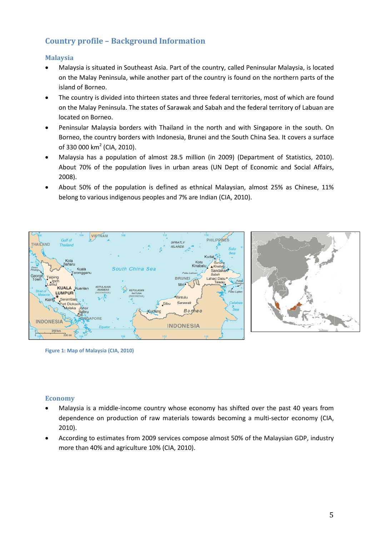#### <span id="page-5-0"></span>**Country profile – Background Information**

#### <span id="page-5-1"></span>**Malaysia**

- Malaysia is situated in Southeast Asia. Part of the country, called Peninsular Malaysia, is located on the Malay Peninsula, while another part of the country is found on the northern parts of the island of Borneo.
- The country is divided into thirteen states and three federal territories, most of which are found on the Malay Peninsula. The states of Sarawak and Sabah and the federal territory of Labuan are located on Borneo.
- Peninsular Malaysia borders with Thailand in the north and with Singapore in the south. On Borneo, the country borders with Indonesia, Brunei and the South China Sea. It covers a surface of 330 000 km<sup>2</sup> (CIA, 2010).
- Malaysia has a population of almost 28.5 million (in 2009) (Department of Statistics, 2010). About 70% of the population lives in urban areas (UN Dept of Economic and Social Affairs, 2008).
- About 50% of the population is defined as ethnical Malaysian, almost 25% as Chinese, 11% belong to various indigenous peoples and 7% are Indian (CIA, 2010).



**Figure 1: Map of Malaysia (CIA, 2010)**

#### <span id="page-5-2"></span>**Economy**

- Malaysia is a middle-income country whose economy has shifted over the past 40 years from dependence on production of raw materials towards becoming a multi-sector economy (CIA, 2010).
- According to estimates from 2009 services compose almost 50% of the Malaysian GDP, industry more than 40% and agriculture 10% (CIA, 2010).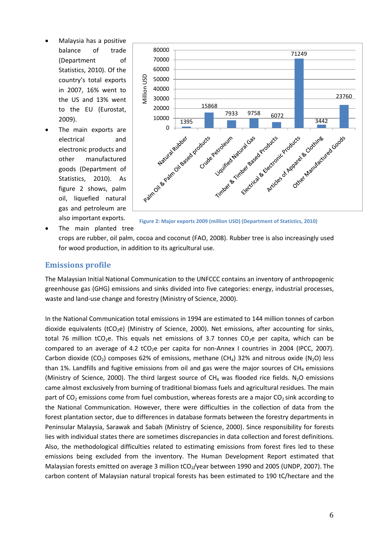- Malaysia has a positive balance of trade (Department of Statistics, 2010). Of the country's total exports in 2007, 16% went to the US and 13% went to the EU (Eurostat, 2009).
- The main exports are electrical and electronic products and other manufactured goods (Department of Statistics, 2010). As figure 2 shows, palm oil, liquefied natural gas and petroleum are also important exports.



**Figure 2: Major exports 2009 (million USD) (Department of Statistics, 2010)**

The main planted tree

crops are rubber, oil palm, cocoa and coconut (FAO, 2008). Rubber tree is also increasingly used for wood production, in addition to its agricultural use.

#### <span id="page-6-0"></span>**Emissions profile**

The Malaysian Initial National Communication to the UNFCCC contains an inventory of anthropogenic greenhouse gas (GHG) emissions and sinks divided into five categories: energy, industrial processes, waste and land-use change and forestry (Ministry of Science, 2000).

In the National Communication total emissions in 1994 are estimated to 144 million tonnes of carbon dioxide equivalents (tCO<sub>2</sub>e) (Ministry of Science, 2000). Net emissions, after accounting for sinks, total 76 million tCO<sub>2</sub>e. This equals net emissions of 3.7 tonnes CO<sub>2</sub>e per capita, which can be compared to an average of 4.2 tCO<sub>2</sub>e per capita for non-Annex I countries in 2004 (IPCC, 2007). Carbon dioxide (CO<sub>2</sub>) composes 62% of emissions, methane (CH<sub>4</sub>) 32% and nitrous oxide (N<sub>2</sub>O) less than 1%. Landfills and fugitive emissions from oil and gas were the major sources of  $CH<sub>4</sub>$  emissions (Ministry of Science, 2000). The third largest source of  $CH<sub>4</sub>$  was flooded rice fields. N<sub>2</sub>O emissions came almost exclusively from burning of traditional biomass fuels and agricultural residues. The main part of  $CO_2$  emissions come from fuel combustion, whereas forests are a major  $CO_2$  sink according to the National Communication. However, there were difficulties in the collection of data from the forest plantation sector, due to differences in database formats between the forestry departments in Peninsular Malaysia, Sarawak and Sabah (Ministry of Science, 2000). Since responsibility for forests lies with individual states there are sometimes discrepancies in data collection and forest definitions. Also, the methodological difficulties related to estimating emissions from forest fires led to these emissions being excluded from the inventory. The Human Development Report estimated that Malaysian forests emitted on average 3 million tCO<sub>2</sub>/year between 1990 and 2005 (UNDP, 2007). The carbon content of Malaysian natural tropical forests has been estimated to 190 tC/hectare and the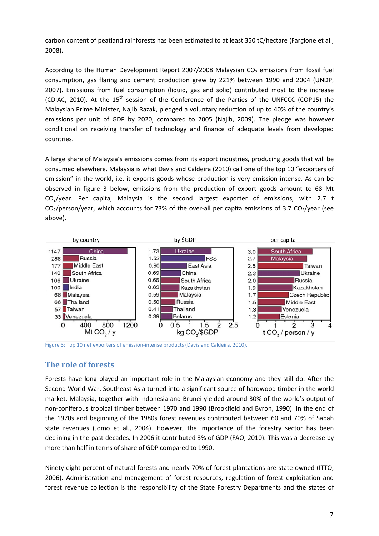carbon content of peatland rainforests has been estimated to at least 350 tC/hectare (Fargione et al., 2008).

According to the Human Development Report 2007/2008 Malaysian  $CO<sub>2</sub>$  emissions from fossil fuel consumption, gas flaring and cement production grew by 221% between 1990 and 2004 (UNDP, 2007). Emissions from fuel consumption (liquid, gas and solid) contributed most to the increase (CDIAC, 2010). At the 15<sup>th</sup> session of the Conference of the Parties of the UNFCCC (COP15) the Malaysian Prime Minister, Najib Razak, pledged a voluntary reduction of up to 40% of the country's emissions per unit of GDP by 2020, compared to 2005 (Najib, 2009). The pledge was however conditional on receiving transfer of technology and finance of adequate levels from developed countries.

A large share of Malaysia's emissions comes from its export industries, producing goods that will be consumed elsewhere. Malaysia is what Davis and Caldeira (2010) call one of the top 10 "exporters of emission" in the world, i.e. it exports goods whose production is very emission intense. As can be observed in figure 3 below, emissions from the production of export goods amount to 68 Mt  $CO<sub>2</sub>/year$ . Per capita, Malaysia is the second largest exporter of emissions, with 2.7 t  $CO<sub>2</sub>/person/year$ , which accounts for 73% of the over-all per capita emissions of 3.7  $CO<sub>2</sub>/year$  (see above).



Figure 3: Top 10 net exporters of emission-intense products (Davis and Caldeira, 2010).

#### <span id="page-7-0"></span>**The role of forests**

Forests have long played an important role in the Malaysian economy and they still do. After the Second World War, Southeast Asia turned into a significant source of hardwood timber in the world market. Malaysia, together with Indonesia and Brunei yielded around 30% of the world's output of non-coniferous tropical timber between 1970 and 1990 (Brookfield and Byron, 1990). In the end of the 1970s and beginning of the 1980s forest revenues contributed between 60 and 70% of Sabah state revenues (Jomo et al., 2004). However, the importance of the forestry sector has been declining in the past decades. In 2006 it contributed 3% of GDP (FAO, 2010). This was a decrease by more than half in terms of share of GDP compared to 1990.

Ninety-eight percent of natural forests and nearly 70% of forest plantations are state-owned (ITTO, 2006). Administration and management of forest resources, regulation of forest exploitation and forest revenue collection is the responsibility of the State Forestry Departments and the states of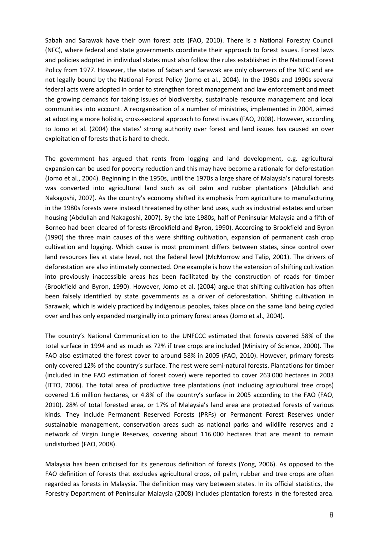Sabah and Sarawak have their own forest acts (FAO, 2010). There is a National Forestry Council (NFC), where federal and state governments coordinate their approach to forest issues. Forest laws and policies adopted in individual states must also follow the rules established in the National Forest Policy from 1977. However, the states of Sabah and Sarawak are only observers of the NFC and are not legally bound by the National Forest Policy (Jomo et al., 2004). In the 1980s and 1990s several federal acts were adopted in order to strengthen forest management and law enforcement and meet the growing demands for taking issues of biodiversity, sustainable resource management and local communities into account. A reorganisation of a number of ministries, implemented in 2004, aimed at adopting a more holistic, cross-sectoral approach to forest issues (FAO, 2008). However, according to Jomo et al. (2004) the states' strong authority over forest and land issues has caused an over exploitation of forests that is hard to check.

The government has argued that rents from logging and land development, e.g. agricultural expansion can be used for poverty reduction and this may have become a rationale for deforestation (Jomo et al., 2004). Beginning in the 1950s, until the 1970s a large share of Malaysia's natural forests was converted into agricultural land such as oil palm and rubber plantations (Abdullah and Nakagoshi, 2007). As the country's economy shifted its emphasis from agriculture to manufacturing in the 1980s forests were instead threatened by other land uses, such as industrial estates and urban housing (Abdullah and Nakagoshi, 2007). By the late 1980s, half of Peninsular Malaysia and a fifth of Borneo had been cleared of forests (Brookfield and Byron, 1990). According to Brookfield and Byron (1990) the three main causes of this were shifting cultivation, expansion of permanent cash crop cultivation and logging. Which cause is most prominent differs between states, since control over land resources lies at state level, not the federal level (McMorrow and Talip, 2001). The drivers of deforestation are also intimately connected. One example is how the extension of shifting cultivation into previously inaccessible areas has been facilitated by the construction of roads for timber (Brookfield and Byron, 1990). However, Jomo et al. (2004) argue that shifting cultivation has often been falsely identified by state governments as a driver of deforestation. Shifting cultivation in Sarawak, which is widely practiced by indigenous peoples, takes place on the same land being cycled over and has only expanded marginally into primary forest areas (Jomo et al., 2004).

The country's National Communication to the UNFCCC estimated that forests covered 58% of the total surface in 1994 and as much as 72% if tree crops are included (Ministry of Science, 2000). The FAO also estimated the forest cover to around 58% in 2005 (FAO, 2010). However, primary forests only covered 12% of the country's surface. The rest were semi-natural forests. Plantations for timber (included in the FAO estimation of forest cover) were reported to cover 263 000 hectares in 2003 (ITTO, 2006). The total area of productive tree plantations (not including agricultural tree crops) covered 1.6 million hectares, or 4.8% of the country's surface in 2005 according to the FAO (FAO, 2010). 28% of total forested area, or 17% of Malaysia's land area are protected forests of various kinds. They include Permanent Reserved Forests (PRFs) or Permanent Forest Reserves under sustainable management, conservation areas such as national parks and wildlife reserves and a network of Virgin Jungle Reserves, covering about 116 000 hectares that are meant to remain undisturbed (FAO, 2008).

Malaysia has been criticised for its generous definition of forests (Yong, 2006). As opposed to the FAO definition of forests that excludes agricultural crops, oil palm, rubber and tree crops are often regarded as forests in Malaysia. The definition may vary between states. In its official statistics, the Forestry Department of Peninsular Malaysia (2008) includes plantation forests in the forested area.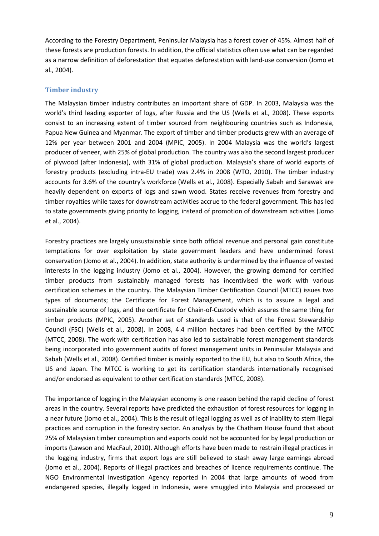According to the Forestry Department, Peninsular Malaysia has a forest cover of 45%. Almost half of these forests are production forests. In addition, the official statistics often use what can be regarded as a narrow definition of deforestation that equates deforestation with land-use conversion (Jomo et al., 2004).

#### <span id="page-9-0"></span>**Timber industry**

The Malaysian timber industry contributes an important share of GDP. In 2003, Malaysia was the world's third leading exporter of logs, after Russia and the US (Wells et al., 2008). These exports consist to an increasing extent of timber sourced from neighbouring countries such as Indonesia, Papua New Guinea and Myanmar. The export of timber and timber products grew with an average of 12% per year between 2001 and 2004 (MPIC, 2005). In 2004 Malaysia was the world's largest producer of veneer, with 25% of global production. The country was also the second largest producer of plywood (after Indonesia), with 31% of global production. Malaysia's share of world exports of forestry products (excluding intra-EU trade) was 2.4% in 2008 (WTO, 2010). The timber industry accounts for 3.6% of the country's workforce (Wells et al., 2008). Especially Sabah and Sarawak are heavily dependent on exports of logs and sawn wood. States receive revenues from forestry and timber royalties while taxes for downstream activities accrue to the federal government. This has led to state governments giving priority to logging, instead of promotion of downstream activities (Jomo et al., 2004).

Forestry practices are largely unsustainable since both official revenue and personal gain constitute temptations for over exploitation by state government leaders and have undermined forest conservation (Jomo et al., 2004). In addition, state authority is undermined by the influence of vested interests in the logging industry (Jomo et al., 2004). However, the growing demand for certified timber products from sustainably managed forests has incentivised the work with various certification schemes in the country. The Malaysian Timber Certification Council (MTCC) issues two types of documents; the Certificate for Forest Management, which is to assure a legal and sustainable source of logs, and the certificate for Chain-of-Custody which assures the same thing for timber products (MPIC, 2005). Another set of standards used is that of the Forest Stewardship Council (FSC) (Wells et al., 2008). In 2008, 4.4 million hectares had been certified by the MTCC (MTCC, 2008). The work with certification has also led to sustainable forest management standards being incorporated into government audits of forest management units in Peninsular Malaysia and Sabah (Wells et al., 2008). Certified timber is mainly exported to the EU, but also to South Africa, the US and Japan. The MTCC is working to get its certification standards internationally recognised and/or endorsed as equivalent to other certification standards (MTCC, 2008).

The importance of logging in the Malaysian economy is one reason behind the rapid decline of forest areas in the country. Several reports have predicted the exhaustion of forest resources for logging in a near future (Jomo et al., 2004). This is the result of legal logging as well as of inability to stem illegal practices and corruption in the forestry sector. An analysis by the Chatham House found that about 25% of Malaysian timber consumption and exports could not be accounted for by legal production or imports (Lawson and MacFaul, 2010). Although efforts have been made to restrain illegal practices in the logging industry, firms that export logs are still believed to stash away large earnings abroad (Jomo et al., 2004). Reports of illegal practices and breaches of licence requirements continue. The NGO Environmental Investigation Agency reported in 2004 that large amounts of wood from endangered species, illegally logged in Indonesia, were smuggled into Malaysia and processed or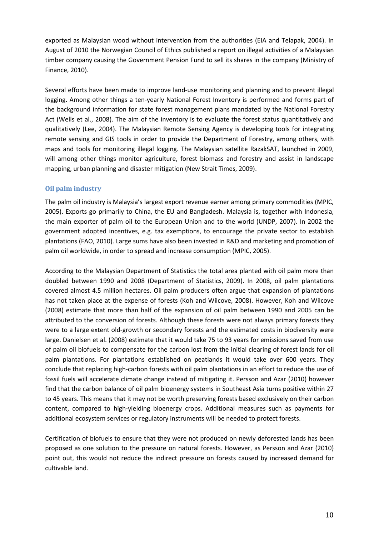exported as Malaysian wood without intervention from the authorities (EIA and Telapak, 2004). In August of 2010 the Norwegian Council of Ethics published a report on illegal activities of a Malaysian timber company causing the Government Pension Fund to sell its shares in the company (Ministry of Finance, 2010).

Several efforts have been made to improve land-use monitoring and planning and to prevent illegal logging. Among other things a ten-yearly National Forest Inventory is performed and forms part of the background information for state forest management plans mandated by the National Forestry Act (Wells et al., 2008). The aim of the inventory is to evaluate the forest status quantitatively and qualitatively (Lee, 2004). The Malaysian Remote Sensing Agency is developing tools for integrating remote sensing and GIS tools in order to provide the Department of Forestry, among others, with maps and tools for monitoring illegal logging. The Malaysian satellite RazakSAT, launched in 2009, will among other things monitor agriculture, forest biomass and forestry and assist in landscape mapping, urban planning and disaster mitigation (New Strait Times, 2009).

#### <span id="page-10-0"></span>**Oil palm industry**

The palm oil industry is Malaysia's largest export revenue earner among primary commodities (MPIC, 2005). Exports go primarily to China, the EU and Bangladesh. Malaysia is, together with Indonesia, the main exporter of palm oil to the European Union and to the world (UNDP, 2007). In 2002 the government adopted incentives, e.g. tax exemptions, to encourage the private sector to establish plantations (FAO, 2010). Large sums have also been invested in R&D and marketing and promotion of palm oil worldwide, in order to spread and increase consumption (MPIC, 2005).

According to the Malaysian Department of Statistics the total area planted with oil palm more than doubled between 1990 and 2008 (Department of Statistics, 2009). In 2008, oil palm plantations covered almost 4.5 million hectares. Oil palm producers often argue that expansion of plantations has not taken place at the expense of forests (Koh and Wilcove, 2008). However, Koh and Wilcove (2008) estimate that more than half of the expansion of oil palm between 1990 and 2005 can be attributed to the conversion of forests. Although these forests were not always primary forests they were to a large extent old-growth or secondary forests and the estimated costs in biodiversity were large. Danielsen et al. (2008) estimate that it would take 75 to 93 years for emissions saved from use of palm oil biofuels to compensate for the carbon lost from the initial clearing of forest lands for oil palm plantations. For plantations established on peatlands it would take over 600 years. They conclude that replacing high-carbon forests with oil palm plantations in an effort to reduce the use of fossil fuels will accelerate climate change instead of mitigating it. Persson and Azar (2010) however find that the carbon balance of oil palm bioenergy systems in Southeast Asia turns positive within 27 to 45 years. This means that it may not be worth preserving forests based exclusively on their carbon content, compared to high-yielding bioenergy crops. Additional measures such as payments for additional ecosystem services or regulatory instruments will be needed to protect forests.

Certification of biofuels to ensure that they were not produced on newly deforested lands has been proposed as one solution to the pressure on natural forests. However, as Persson and Azar (2010) point out, this would not reduce the indirect pressure on forests caused by increased demand for cultivable land.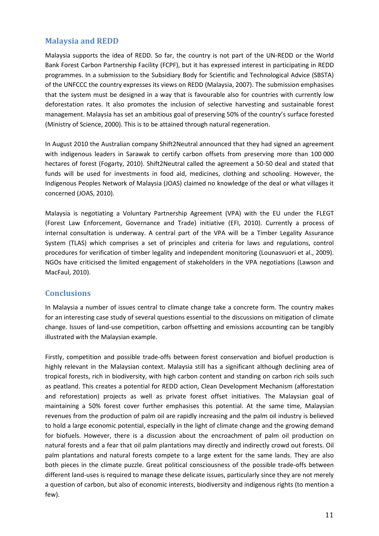#### <span id="page-11-0"></span>**Malaysia and REDD**

Malaysia supports the idea of REDD. So far, the country is not part of the UN-REDD or the World Bank Forest Carbon Partnership Facility (FCPF), but it has expressed interest in participating in REDD programmes. In a submission to the Subsidiary Body for Scientific and Technological Advice (SBSTA) of the UNFCCC the country expresses its views on REDD (Malaysia, 2007). The submission emphasises that the system must be designed in a way that is favourable also for countries with currently low deforestation rates. It also promotes the inclusion of selective harvesting and sustainable forest management. Malaysia has set an ambitious goal of preserving 50% of the country's surface forested (Ministry of Science, 2000). This is to be attained through natural regeneration.

In August 2010 the Australian company Shift2Neutral announced that they had signed an agreement with indigenous leaders in Sarawak to certify carbon offsets from preserving more than 100 000 hectares of forest (Fogarty, 2010). Shift2Neutral called the agreement a 50-50 deal and stated that funds will be used for investments in food aid, medicines, clothing and schooling. However, the Indigenous Peoples Network of Malaysia (JOAS) claimed no knowledge of the deal or what villages it concerned (JOAS, 2010).

Malaysia is negotiating a Voluntary Partnership Agreement (VPA) with the EU under the FLEGT (Forest Law Enforcement, Governance and Trade) initiative (EFI, 2010). Currently a process of internal consultation is underway. A central part of the VPA will be a Timber Legality Assurance System (TLAS) which comprises a set of principles and criteria for laws and regulations, control procedures for verification of timber legality and independent monitoring (Lounasvuori et al., 2009). NGOs have criticised the limited engagement of stakeholders in the VPA negotiations (Lawson and MacFaul, 2010).

#### <span id="page-11-1"></span>**Conclusions**

In Malaysia a number of issues central to climate change take a concrete form. The country makes for an interesting case study of several questions essential to the discussions on mitigation of climate change. Issues of land-use competition, carbon offsetting and emissions accounting can be tangibly illustrated with the Malaysian example.

Firstly, competition and possible trade-offs between forest conservation and biofuel production is highly relevant in the Malaysian context. Malaysia still has a significant although declining area of tropical forests, rich in biodiversity, with high carbon content and standing on carbon rich soils such as peatland. This creates a potential for REDD action, Clean Development Mechanism (afforestation and reforestation) projects as well as private forest offset initiatives. The Malaysian goal of maintaining a 50% forest cover further emphasises this potential. At the same time, Malaysian revenues from the production of palm oil are rapidly increasing and the palm oil industry is believed to hold a large economic potential, especially in the light of climate change and the growing demand for biofuels. However, there is a discussion about the encroachment of palm oil production on natural forests and a fear that oil palm plantations may directly and indirectly crowd out forests. Oil palm plantations and natural forests compete to a large extent for the same lands. They are also both pieces in the climate puzzle. Great political consciousness of the possible trade-offs between different land-uses is required to manage these delicate issues, particularly since they are not merely a question of carbon, but also of economic interests, biodiversity and indigenous rights (to mention a few).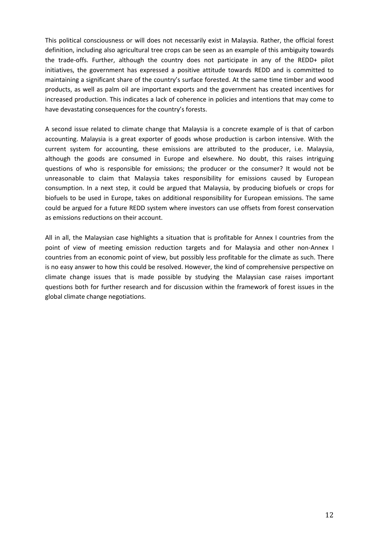This political consciousness or will does not necessarily exist in Malaysia. Rather, the official forest definition, including also agricultural tree crops can be seen as an example of this ambiguity towards the trade-offs. Further, although the country does not participate in any of the REDD+ pilot initiatives, the government has expressed a positive attitude towards REDD and is committed to maintaining a significant share of the country's surface forested. At the same time timber and wood products, as well as palm oil are important exports and the government has created incentives for increased production. This indicates a lack of coherence in policies and intentions that may come to have devastating consequences for the country's forests.

A second issue related to climate change that Malaysia is a concrete example of is that of carbon accounting. Malaysia is a great exporter of goods whose production is carbon intensive. With the current system for accounting, these emissions are attributed to the producer, i.e. Malaysia, although the goods are consumed in Europe and elsewhere. No doubt, this raises intriguing questions of who is responsible for emissions; the producer or the consumer? It would not be unreasonable to claim that Malaysia takes responsibility for emissions caused by European consumption. In a next step, it could be argued that Malaysia, by producing biofuels or crops for biofuels to be used in Europe, takes on additional responsibility for European emissions. The same could be argued for a future REDD system where investors can use offsets from forest conservation as emissions reductions on their account.

All in all, the Malaysian case highlights a situation that is profitable for Annex I countries from the point of view of meeting emission reduction targets and for Malaysia and other non-Annex I countries from an economic point of view, but possibly less profitable for the climate as such. There is no easy answer to how this could be resolved. However, the kind of comprehensive perspective on climate change issues that is made possible by studying the Malaysian case raises important questions both for further research and for discussion within the framework of forest issues in the global climate change negotiations.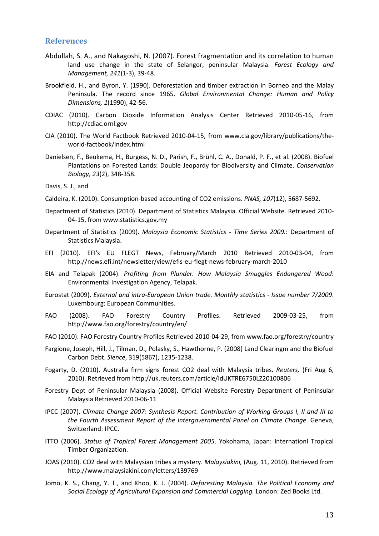#### <span id="page-13-0"></span>**References**

- Abdullah, S. A., and Nakagoshi, N. (2007). Forest fragmentation and its correlation to human land use change in the state of Selangor, peninsular Malaysia. *Forest Ecology and Management, 241*(1-3), 39-48.
- Brookfield, H., and Byron, Y. (1990). Deforestation and timber extraction in Borneo and the Malay Peninsula. The record since 1965. *Global Environmental Change: Human and Policy Dimensions, 1*(1990), 42-56.
- CDIAC (2010). Carbon Dioxide Information Analysis Center Retrieved 2010-05-16, from http://cdiac.ornl.gov
- CIA (2010). The World Factbook Retrieved 2010-04-15, from www.cia.gov/library/publications/theworld-factbook/index.html
- Danielsen, F., Beukema, H., Burgess, N. D., Parish, F., Brühl, C. A., Donald, P. F., et al. (2008). Biofuel Plantations on Forested Lands: Double Jeopardy for Biodiversity and Climate. *Conservation Biology, 23*(2), 348-358.
- Davis, S. J., and
- Caldeira, K. (2010). Consumption-based accounting of CO2 emissions. *PNAS, 107*(12), 5687-5692.
- Department of Statistics (2010). Department of Statistics Malaysia. Official Website. Retrieved 2010- 04-15, from www.statistics.gov.my
- Department of Statistics (2009). *Malaysia Economic Statistics - Time Series 2009.*: Department of Statistics Malaysia.
- EFI (2010). EFI's EU FLEGT News, February/March 2010 Retrieved 2010-03-04, from http://news.efi.int/newsletter/view/efis-eu-flegt-news-february-march-2010
- EIA and Telapak (2004). *Profiting from Plunder. How Malaysia Smuggles Endangered Wood*: Environmental Investigation Agency, Telapak.
- Eurostat (2009). *External and intra-European Union trade. Monthly statistics - Issue number 7/2009*. Luxembourg: European Communities.
- FAO (2008). FAO Forestry Country Profiles. Retrieved 2009-03-25, from http://www.fao.org/forestry/country/en/
- FAO (2010). FAO Forestry Country Profiles Retrieved 2010-04-29, from www.fao.org/forestry/country
- Fargione, Joseph, Hill, J., Tilman, D., Polasky, S., Hawthorne, P. (2008) Land Clearingm and the Biofuel Carbon Debt. *Sience*, 319(5867), 1235-1238.
- Fogarty, D. (2010). Australia firm signs forest CO2 deal with Malaysia tribes. *Reuters,* (Fri Aug 6, 2010). Retrieved from http://uk.reuters.com/article/idUKTRE6750LZ20100806
- Forestry Dept of Peninsular Malaysia (2008). Official Website Forestry Department of Peninsular Malaysia Retrieved 2010-06-11
- IPCC (2007). *Climate Change 2007: Synthesis Report. Contribution of Working Groups I, II and III to the Fourth Assessment Report of the Intergovernmental Panel on Climate Change*. Geneva, Switzerland: IPCC.
- ITTO (2006). *Status of Tropical Forest Management 2005*. Yokohama, Japan: Internationl Tropical Timber Organization.
- JOAS (2010). CO2 deal with Malaysian tribes a mystery. *Malaysiakini,* (Aug. 11, 2010). Retrieved from http://www.malaysiakini.com/letters/139769
- Jomo, K. S., Chang, Y. T., and Khoo, K. J. (2004). *Deforesting Malaysia. The Political Economy and Social Ecology of Agricultural Expansion and Commercial Logging.* London: Zed Books Ltd.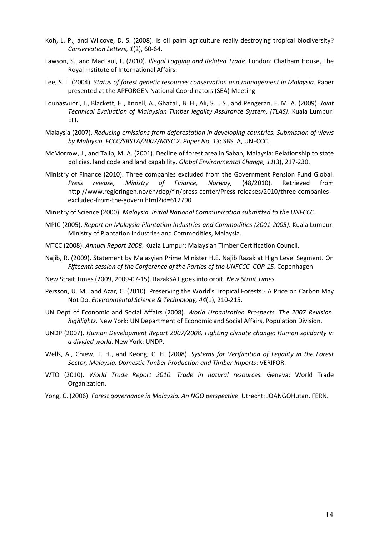- Koh, L. P., and Wilcove, D. S. (2008). Is oil palm agriculture really destroying tropical biodiversity? *Conservation Letters, 1*(2), 60-64.
- Lawson, S., and MacFaul, L. (2010). *Illegal Logging and Related Trade*. London: Chatham House, The Royal Institute of International Affairs.
- Lee, S. L. (2004). *Status of forest genetic resources conservation and management in Malaysia*. Paper presented at the APFORGEN National Coordinators (SEA) Meeting
- Lounasvuori, J., Blackett, H., Knoell, A., Ghazali, B. H., Ali, S. I. S., and Pengeran, E. M. A. (2009). *Joint Technical Evaluation of Malaysian Timber legality Assurance System, (TLAS)*. Kuala Lumpur: EFI.
- Malaysia (2007). *Reducing emissions from deforestation in developing countries. Submission of views by Malaysia. FCCC/SBSTA/2007/MISC.2. Paper No. 13*: SBSTA, UNFCCC.
- McMorrow, J., and Talip, M. A. (2001). Decline of forest area in Sabah, Malaysia: Relationship to state policies, land code and land capability. *Global Environmental Change, 11*(3), 217-230.
- Ministry of Finance (2010). Three companies excluded from the Government Pension Fund Global. *Press release, Ministry of Finance, Norway,* (48/2010). Retrieved from http://www.regjeringen.no/en/dep/fin/press-center/Press-releases/2010/three-companiesexcluded-from-the-govern.html?id=612790

Ministry of Science (2000). *Malaysia. Initial National Communication submitted to the UNFCCC*.

- MPIC (2005). *Report on Malaysia Plantation Industries and Commodities (2001-2005)*. Kuala Lumpur: Ministry of Plantation Industries and Commodities, Malaysia.
- MTCC (2008). *Annual Report 2008*. Kuala Lumpur: Malaysian Timber Certification Council.
- Najib, R. (2009). Statement by Malasyian Prime Minister H.E. Najib Razak at High Level Segment. On *Fifteenth session of the Conference of the Parties of the UNFCCC. COP-15*. Copenhagen.
- New Strait Times (2009, 2009-07-15). RazakSAT goes into orbit. *New Strait Times*.
- Persson, U. M., and Azar, C. (2010). Preserving the World's Tropical Forests A Price on Carbon May Not Do. *Environmental Science & Technology, 44*(1), 210-215.
- UN Dept of Economic and Social Affairs (2008). *World Urbanization Prospects. The 2007 Revision. highlights.* New York: UN Department of Economic and Social Affairs, Population Division.
- UNDP (2007). *Human Development Report 2007/2008. Fighting climate change: Human solidarity in a divided world.* New York: UNDP.
- Wells, A., Chiew, T. H., and Keong, C. H. (2008). *Systems for Verification of Legality in the Forest Sector, Malaysia: Domestic Timber Production and Timber Imports*: VERIFOR.
- WTO (2010). *World Trade Report 2010. Trade in natural resources.* Geneva: World Trade Organization.
- Yong, C. (2006). *Forest governance in Malaysia. An NGO perspective*. Utrecht: JOANGOHutan, FERN.